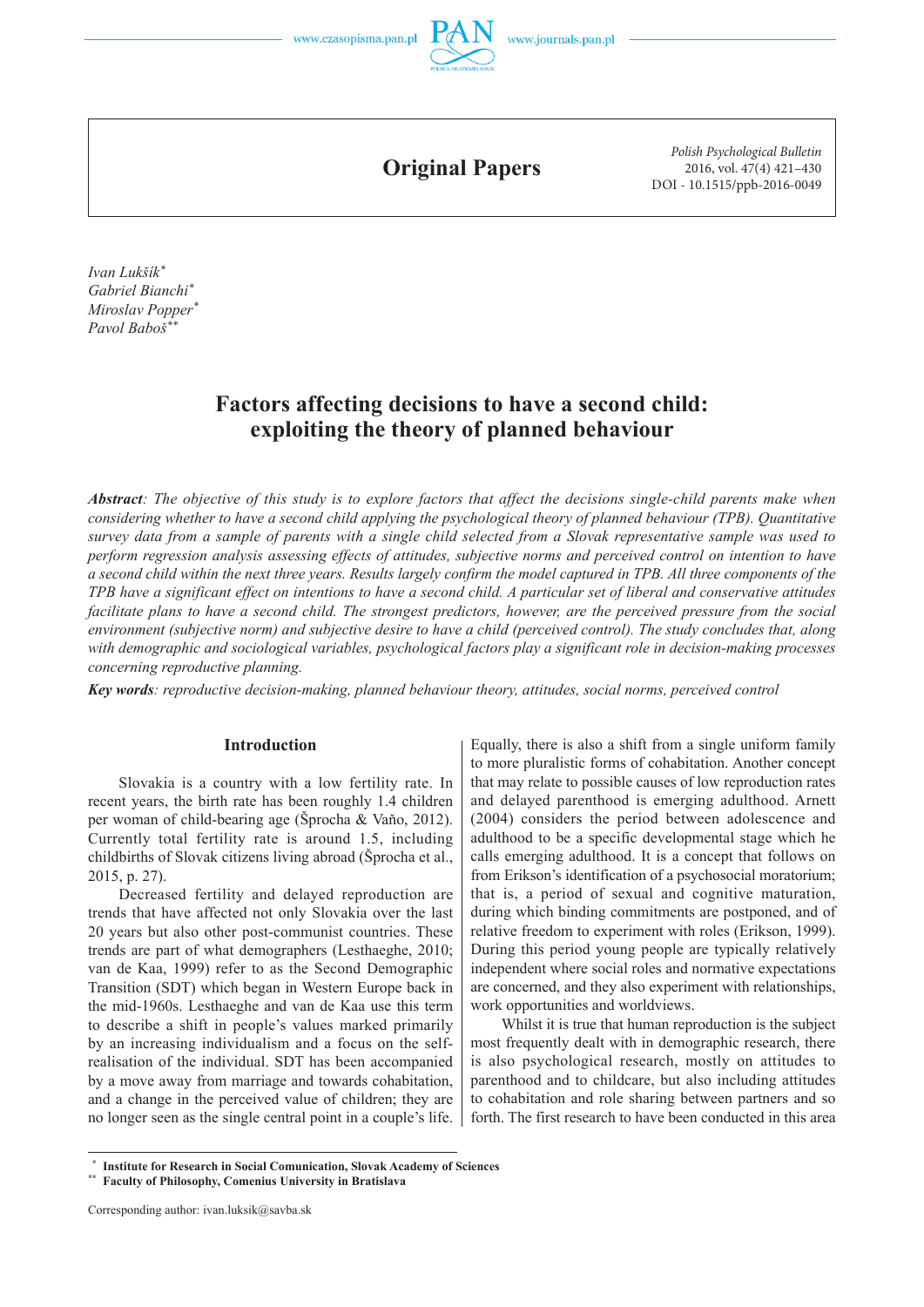

**Original Papers**

*Polish Psychological Bulletin* 2016, vol. 47(4) 421–430 DOI - 10.1515/ppb-2016-0049

*Ivan Lukšík\* Gabriel Bianchi\* Miroslav Popper\* Pavol Baboš\*\**

# **Factors affecting decisions to have a second child: exploiting the theory of planned behaviour**

*Abstract: The objective of this study is to explore factors that affect the decisions single-child parents make when considering whether to have a second child applying the psychological theory of planned behaviour (TPB). Quantitative survey data from a sample of parents with a single child selected from a Slovak representative sample was used to perform regression analysis assessing effects of attitudes, subjective norms and perceived control on intention to have a second child within the next three years. Results largely confirm the model captured in TPB. All three components of the TPB have a significant effect on intentions to have a second child. A particular set of liberal and conservative attitudes facilitate plans to have a second child. The strongest predictors, however, are the perceived pressure from the social environment (subjective norm) and subjective desire to have a child (perceived control). The study concludes that, along with demographic and sociological variables, psychological factors play a significant role in decision-making processes concerning reproductive planning.*

*Key words: reproductive decision-making, planned behaviour theory, attitudes, social norms, perceived control*

## **Introduction**

Slovakia is a country with a low fertility rate. In recent years, the birth rate has been roughly 1.4 children per woman of child-bearing age (Šprocha & Vaňo, 2012). Currently total fertility rate is around 1.5, including childbirths of Slovak citizens living abroad (Šprocha et al., 2015, p. 27).

Decreased fertility and delayed reproduction are trends that have affected not only Slovakia over the last 20 years but also other post-communist countries. These trends are part of what demographers (Lesthaeghe, 2010; van de Kaa, 1999) refer to as the Second Demographic Transition (SDT) which began in Western Europe back in the mid-1960s. Lesthaeghe and van de Kaa use this term to describe a shift in people's values marked primarily by an increasing individualism and a focus on the selfrealisation of the individual. SDT has been accompanied by a move away from marriage and towards cohabitation, and a change in the perceived value of children; they are no longer seen as the single central point in a couple's life.

Equally, there is also a shift from a single uniform family to more pluralistic forms of cohabitation. Another concept that may relate to possible causes of low reproduction rates and delayed parenthood is emerging adulthood. Arnett (2004) considers the period between adolescence and adulthood to be a specific developmental stage which he calls emerging adulthood. It is a concept that follows on from Erikson's identification of a psychosocial moratorium; that is, a period of sexual and cognitive maturation, during which binding commitments are postponed, and of relative freedom to experiment with roles (Erikson, 1999). During this period young people are typically relatively independent where social roles and normative expectations are concerned, and they also experiment with relationships, work opportunities and worldviews.

Whilst it is true that human reproduction is the subject most frequently dealt with in demographic research, there is also psychological research, mostly on attitudes to parenthood and to childcare, but also including attitudes to cohabitation and role sharing between partners and so forth. The first research to have been conducted in this area

**Institute for Research in Social Comunication, Slovak Academy of Sciences** 

**<sup>\*\*</sup> Faculty of Philosophy, Comenius University in Bratislava**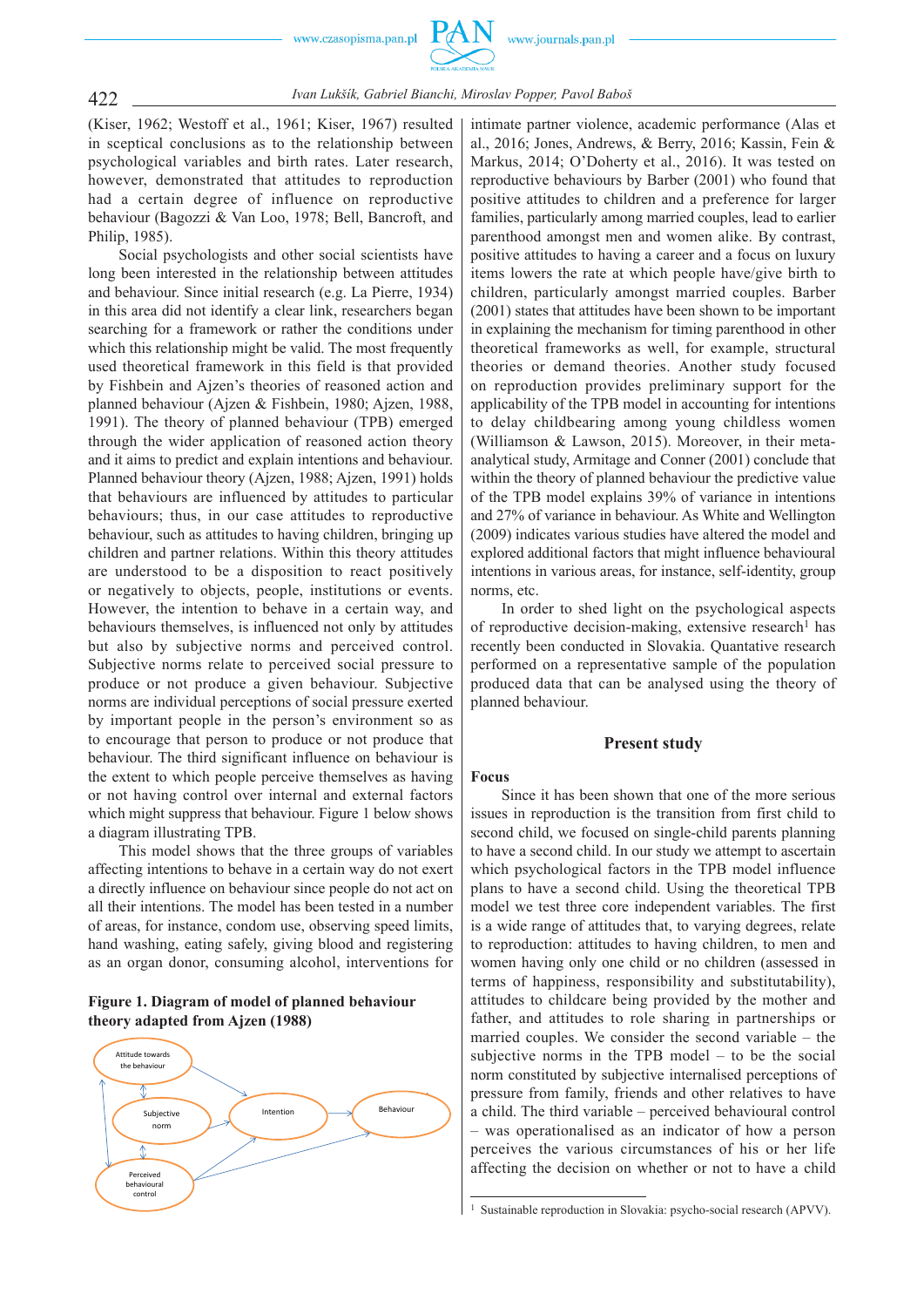

## 422 *Ivan Lukšík, Gabriel Bianchi, Miroslav Popper, Pavol Baboš*

(Kiser, 1962; Westoff et al., 1961; Kiser, 1967) resulted in sceptical conclusions as to the relationship between psychological variables and birth rates. Later research, however, demonstrated that attitudes to reproduction had a certain degree of influence on reproductive behaviour (Bagozzi & Van Loo, 1978; Bell, Bancroft, and Philip, 1985).

Social psychologists and other social scientists have long been interested in the relationship between attitudes and behaviour. Since initial research (e.g. La Pierre, 1934) in this area did not identify a clear link, researchers began searching for a framework or rather the conditions under which this relationship might be valid. The most frequently used theoretical framework in this field is that provided by Fishbein and Ajzen's theories of reasoned action and planned behaviour (Ajzen & Fishbein, 1980; Ajzen, 1988, 1991). The theory of planned behaviour (TPB) emerged through the wider application of reasoned action theory and it aims to predict and explain intentions and behaviour. Planned behaviour theory (Ajzen, 1988; Ajzen, 1991) holds that behaviours are influenced by attitudes to particular behaviours; thus, in our case attitudes to reproductive behaviour, such as attitudes to having children, bringing up children and partner relations. Within this theory attitudes are understood to be a disposition to react positively or negatively to objects, people, institutions or events. However, the intention to behave in a certain way, and behaviours themselves, is influenced not only by attitudes but also by subjective norms and perceived control. Subjective norms relate to perceived social pressure to produce or not produce a given behaviour. Subjective norms are individual perceptions of social pressure exerted by important people in the person's environment so as to encourage that person to produce or not produce that behaviour. The third significant influence on behaviour is the extent to which people perceive themselves as having or not having control over internal and external factors which might suppress that behaviour. Figure 1 below shows a diagram illustrating TPB.

This model shows that the three groups of variables affecting intentions to behave in a certain way do not exert a directly influence on behaviour since people do not act on all their intentions. The model has been tested in a number of areas, for instance, condom use, observing speed limits, hand washing, eating safely, giving blood and registering as an organ donor, consuming alcohol, interventions for

## **Figure 1. Diagram of model of planned behaviour theory adapted from Ajzen (1988)**



intimate partner violence, academic performance (Alas et al., 2016; Jones, Andrews, & Berry, 2016; Kassin, Fein & Markus, 2014; O'Doherty et al., 2016). It was tested on reproductive behaviours by Barber (2001) who found that positive attitudes to children and a preference for larger families, particularly among married couples, lead to earlier parenthood amongst men and women alike. By contrast, positive attitudes to having a career and a focus on luxury items lowers the rate at which people have/give birth to children, particularly amongst married couples. Barber (2001) states that attitudes have been shown to be important in explaining the mechanism for timing parenthood in other theoretical frameworks as well, for example, structural theories or demand theories. Another study focused on reproduction provides preliminary support for the applicability of the TPB model in accounting for intentions to delay childbearing among young childless women (Williamson & Lawson, 2015). Moreover, in their metaanalytical study, Armitage and Conner (2001) conclude that within the theory of planned behaviour the predictive value of the TPB model explains 39% of variance in intentions and 27% of variance in behaviour. As White and Wellington (2009) indicates various studies have altered the model and explored additional factors that might influence behavioural intentions in various areas, for instance, self-identity, group norms, etc.

In order to shed light on the psychological aspects of reproductive decision-making, extensive research<sup>1</sup> has recently been conducted in Slovakia. Quantative research performed on a representative sample of the population produced data that can be analysed using the theory of planned behaviour.

#### **Present study**

#### **Focus**

Since it has been shown that one of the more serious issues in reproduction is the transition from first child to second child, we focused on single-child parents planning to have a second child. In our study we attempt to ascertain which psychological factors in the TPB model influence plans to have a second child. Using the theoretical TPB model we test three core independent variables. The first is a wide range of attitudes that, to varying degrees, relate to reproduction: attitudes to having children, to men and women having only one child or no children (assessed in terms of happiness, responsibility and substitutability), attitudes to childcare being provided by the mother and father, and attitudes to role sharing in partnerships or married couples. We consider the second variable – the subjective norms in the TPB model – to be the social norm constituted by subjective internalised perceptions of pressure from family, friends and other relatives to have a child. The third variable – perceived behavioural control – was operationalised as an indicator of how a person perceives the various circumstances of his or her life affecting the decision on whether or not to have a child

<sup>&</sup>lt;sup>1</sup> Sustainable reproduction in Slovakia: psycho-social research (APVV).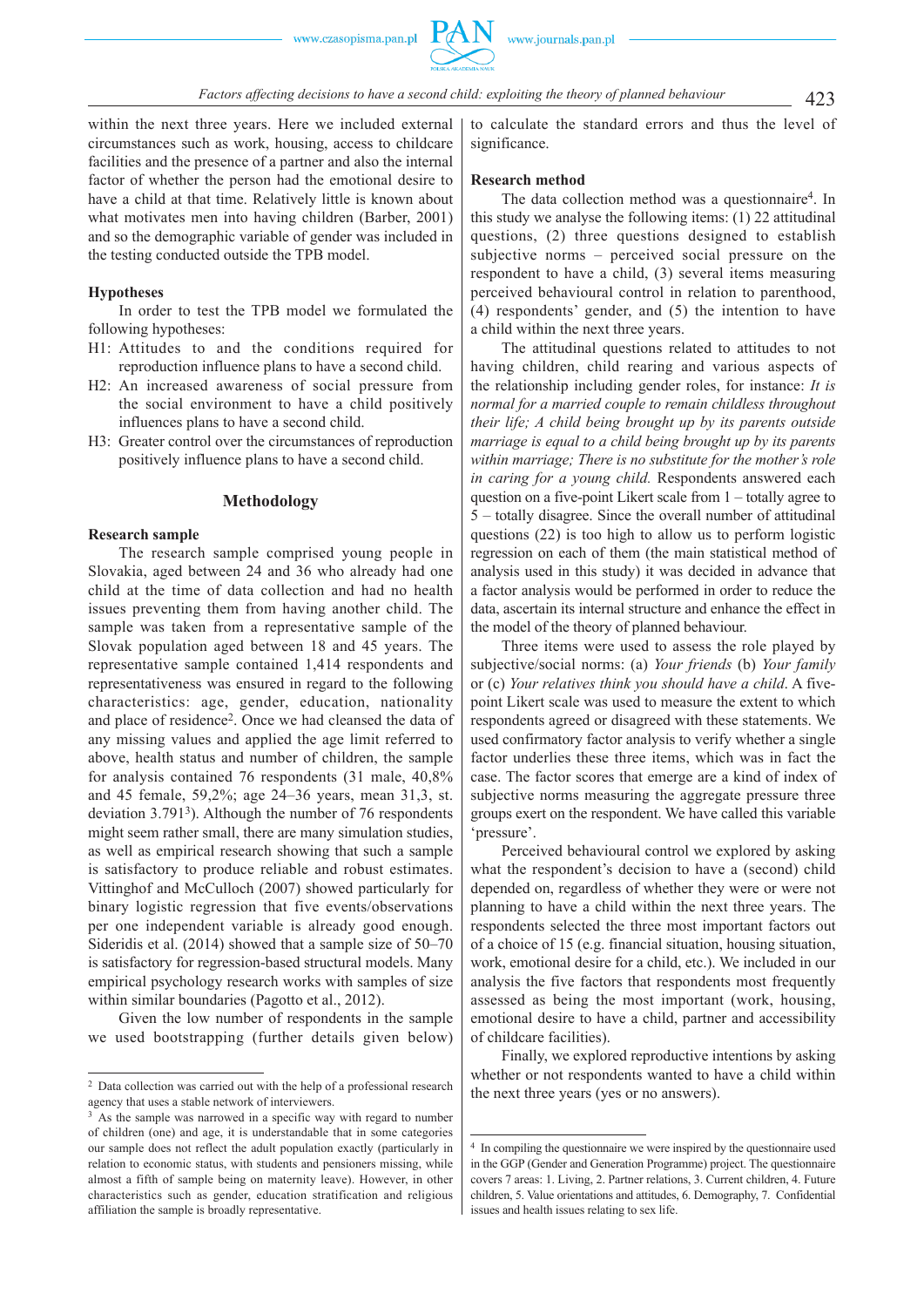within the next three years. Here we included external circumstances such as work, housing, access to childcare facilities and the presence of a partner and also the internal factor of whether the person had the emotional desire to have a child at that time. Relatively little is known about what motivates men into having children (Barber, 2001) and so the demographic variable of gender was included in the testing conducted outside the TPB model.

### **Hypotheses**

In order to test the TPB model we formulated the following hypotheses:

- H1: Attitudes to and the conditions required for reproduction influence plans to have a second child.
- H2: An increased awareness of social pressure from the social environment to have a child positively influences plans to have a second child.
- H3: Greater control over the circumstances of reproduction positively influence plans to have a second child.

## **Methodology**

#### **Research sample**

The research sample comprised young people in Slovakia, aged between 24 and 36 who already had one child at the time of data collection and had no health issues preventing them from having another child. The sample was taken from a representative sample of the Slovak population aged between 18 and 45 years. The representative sample contained 1,414 respondents and representativeness was ensured in regard to the following characteristics: age, gender, education, nationality and place of residence2. Once we had cleansed the data of any missing values and applied the age limit referred to above, health status and number of children, the sample for analysis contained 76 respondents (31 male, 40,8% and 45 female, 59,2%; age 24–36 years, mean 31,3, st. deviation 3.7913). Although the number of 76 respondents might seem rather small, there are many simulation studies, as well as empirical research showing that such a sample is satisfactory to produce reliable and robust estimates. Vittinghof and McCulloch (2007) showed particularly for binary logistic regression that five events/observations per one independent variable is already good enough. Sideridis et al. (2014) showed that a sample size of 50–70 is satisfactory for regression-based structural models. Many empirical psychology research works with samples of size within similar boundaries (Pagotto et al., 2012).

Given the low number of respondents in the sample we used bootstrapping (further details given below) to calculate the standard errors and thus the level of significance.

### **Research method**

The data collection method was a questionnaire4. In this study we analyse the following items: (1) 22 attitudinal questions, (2) three questions designed to establish subjective norms – perceived social pressure on the respondent to have a child, (3) several items measuring perceived behavioural control in relation to parenthood, (4) respondents' gender, and (5) the intention to have a child within the next three years.

The attitudinal questions related to attitudes to not having children, child rearing and various aspects of the relationship including gender roles, for instance: *It is normal for a married couple to remain childless throughout their life; A child being brought up by its parents outside marriage is equal to a child being brought up by its parents within marriage; There is no substitute for the mother's role in caring for a young child.* Respondents answered each question on a five-point Likert scale from 1 – totally agree to 5 – totally disagree. Since the overall number of attitudinal questions (22) is too high to allow us to perform logistic regression on each of them (the main statistical method of analysis used in this study) it was decided in advance that a factor analysis would be performed in order to reduce the data, ascertain its internal structure and enhance the effect in the model of the theory of planned behaviour.

Three items were used to assess the role played by subjective/social norms: (a) *Your friends* (b) *Your family* or (c) *Your relatives think you should have a child*. A fivepoint Likert scale was used to measure the extent to which respondents agreed or disagreed with these statements. We used confirmatory factor analysis to verify whether a single factor underlies these three items, which was in fact the case. The factor scores that emerge are a kind of index of subjective norms measuring the aggregate pressure three groups exert on the respondent. We have called this variable 'pressure'.

Perceived behavioural control we explored by asking what the respondent's decision to have a (second) child depended on, regardless of whether they were or were not planning to have a child within the next three years. The respondents selected the three most important factors out of a choice of 15 (e.g. financial situation, housing situation, work, emotional desire for a child, etc.). We included in our analysis the five factors that respondents most frequently assessed as being the most important (work, housing, emotional desire to have a child, partner and accessibility of childcare facilities).

Finally, we explored reproductive intentions by asking whether or not respondents wanted to have a child within the next three years (yes or no answers).

<sup>2</sup> Data collection was carried out with the help of a professional research agency that uses a stable network of interviewers.

<sup>&</sup>lt;sup>3</sup> As the sample was narrowed in a specific way with regard to number of children (one) and age, it is understandable that in some categories our sample does not reflect the adult population exactly (particularly in relation to economic status, with students and pensioners missing, while almost a fifth of sample being on maternity leave). However, in other characteristics such as gender, education stratification and religious affiliation the sample is broadly representative.

<sup>4</sup> In compiling the questionnaire we were inspired by the questionnaire used in the GGP (Gender and Generation Programme) project. The questionnaire covers 7 areas: 1. Living, 2. Partner relations, 3. Current children, 4. Future children, 5. Value orientations and attitudes, 6. Demography, 7. Confidential issues and health issues relating to sex life.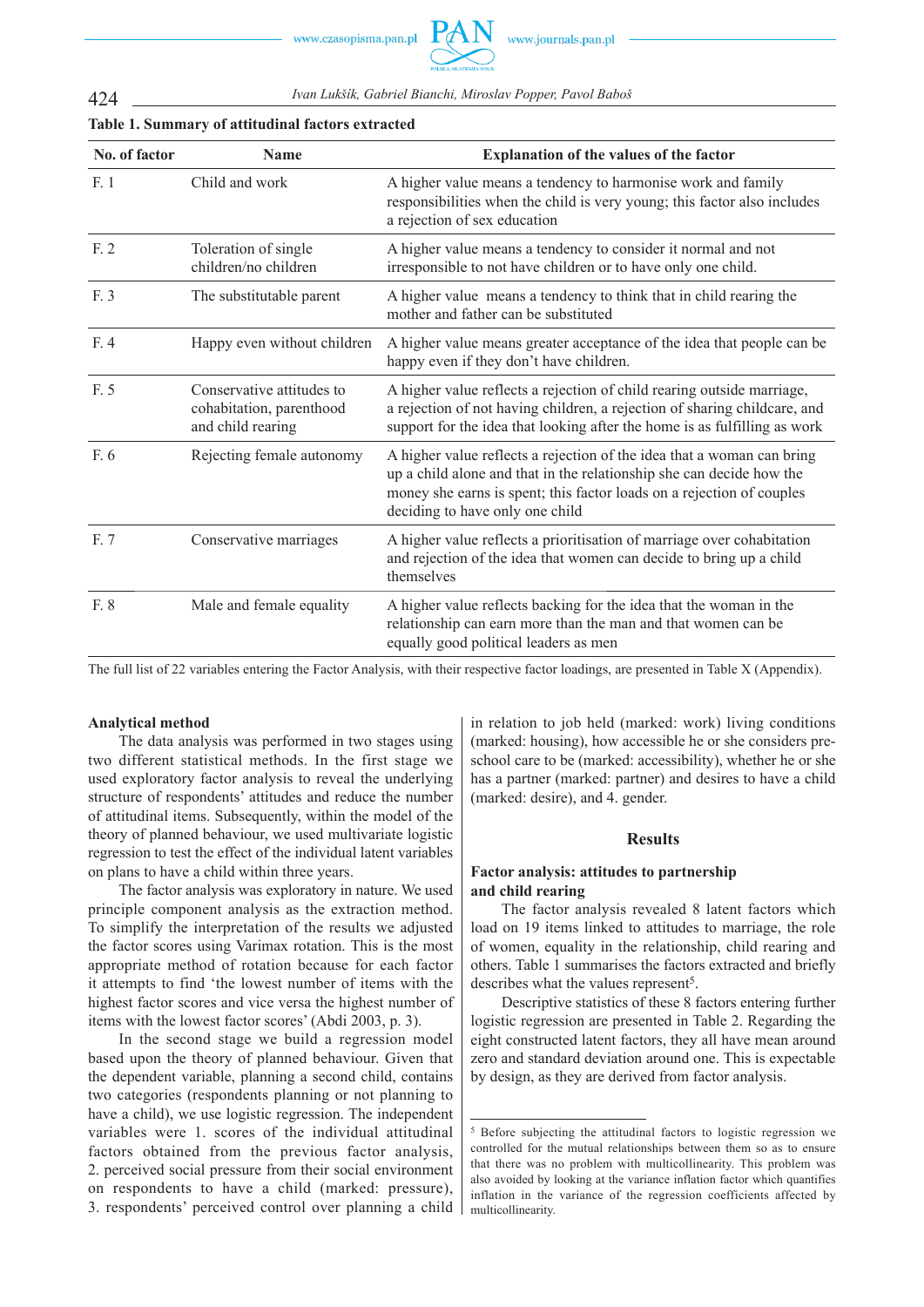424 *Ivan Lukšík, Gabriel Bianchi, Miroslav Popper, Pavol Baboš*

| No. of factor | <b>Name</b>                                                                | Explanation of the values of the factor                                                                                                                                                                                                                    |
|---------------|----------------------------------------------------------------------------|------------------------------------------------------------------------------------------------------------------------------------------------------------------------------------------------------------------------------------------------------------|
| F.1           | Child and work                                                             | A higher value means a tendency to harmonise work and family<br>responsibilities when the child is very young; this factor also includes<br>a rejection of sex education                                                                                   |
| F. 2          | Toleration of single<br>children/no children                               | A higher value means a tendency to consider it normal and not<br>irresponsible to not have children or to have only one child.                                                                                                                             |
| F. 3          | The substitutable parent                                                   | A higher value means a tendency to think that in child rearing the<br>mother and father can be substituted                                                                                                                                                 |
| F. 4          | Happy even without children                                                | A higher value means greater acceptance of the idea that people can be<br>happy even if they don't have children.                                                                                                                                          |
| F. 5          | Conservative attitudes to<br>cohabitation, parenthood<br>and child rearing | A higher value reflects a rejection of child rearing outside marriage,<br>a rejection of not having children, a rejection of sharing childcare, and<br>support for the idea that looking after the home is as fulfilling as work                           |
| F. 6          | Rejecting female autonomy                                                  | A higher value reflects a rejection of the idea that a woman can bring<br>up a child alone and that in the relationship she can decide how the<br>money she earns is spent; this factor loads on a rejection of couples<br>deciding to have only one child |
| F. 7          | Conservative marriages                                                     | A higher value reflects a prioritisation of marriage over cohabitation<br>and rejection of the idea that women can decide to bring up a child<br>themselves                                                                                                |
| F. 8          | Male and female equality                                                   | A higher value reflects backing for the idea that the woman in the<br>relationship can earn more than the man and that women can be<br>equally good political leaders as men                                                                               |
|               |                                                                            |                                                                                                                                                                                                                                                            |

## **Table 1. Summary of attitudinal factors extracted**

The full list of 22 variables entering the Factor Analysis, with their respective factor loadings, are presented in Table X (Appendix).

## **Analytical method**

The data analysis was performed in two stages using two different statistical methods. In the first stage we used exploratory factor analysis to reveal the underlying structure of respondents' attitudes and reduce the number of attitudinal items. Subsequently, within the model of the theory of planned behaviour, we used multivariate logistic regression to test the effect of the individual latent variables on plans to have a child within three years.

The factor analysis was exploratory in nature. We used principle component analysis as the extraction method. To simplify the interpretation of the results we adjusted the factor scores using Varimax rotation. This is the most appropriate method of rotation because for each factor it attempts to find 'the lowest number of items with the highest factor scores and vice versa the highest number of items with the lowest factor scores' (Abdi 2003, p. 3).

In the second stage we build a regression model based upon the theory of planned behaviour. Given that the dependent variable, planning a second child, contains two categories (respondents planning or not planning to have a child), we use logistic regression. The independent variables were 1. scores of the individual attitudinal factors obtained from the previous factor analysis, 2. perceived social pressure from their social environment on respondents to have a child (marked: pressure), 3. respondents' perceived control over planning a child in relation to job held (marked: work) living conditions (marked: housing), how accessible he or she considers preschool care to be (marked: accessibility), whether he or she has a partner (marked: partner) and desires to have a child (marked: desire), and 4. gender.

#### **Results**

## **Factor analysis: attitudes to partnership and child rearing**

The factor analysis revealed 8 latent factors which load on 19 items linked to attitudes to marriage, the role of women, equality in the relationship, child rearing and others. Table 1 summarises the factors extracted and briefly describes what the values represent<sup>5</sup>.

Descriptive statistics of these 8 factors entering further logistic regression are presented in Table 2. Regarding the eight constructed latent factors, they all have mean around zero and standard deviation around one. This is expectable by design, as they are derived from factor analysis.

<sup>5</sup> Before subjecting the attitudinal factors to logistic regression we controlled for the mutual relationships between them so as to ensure that there was no problem with multicollinearity. This problem was also avoided by looking at the variance inflation factor which quantifies inflation in the variance of the regression coefficients affected by multicollinearity.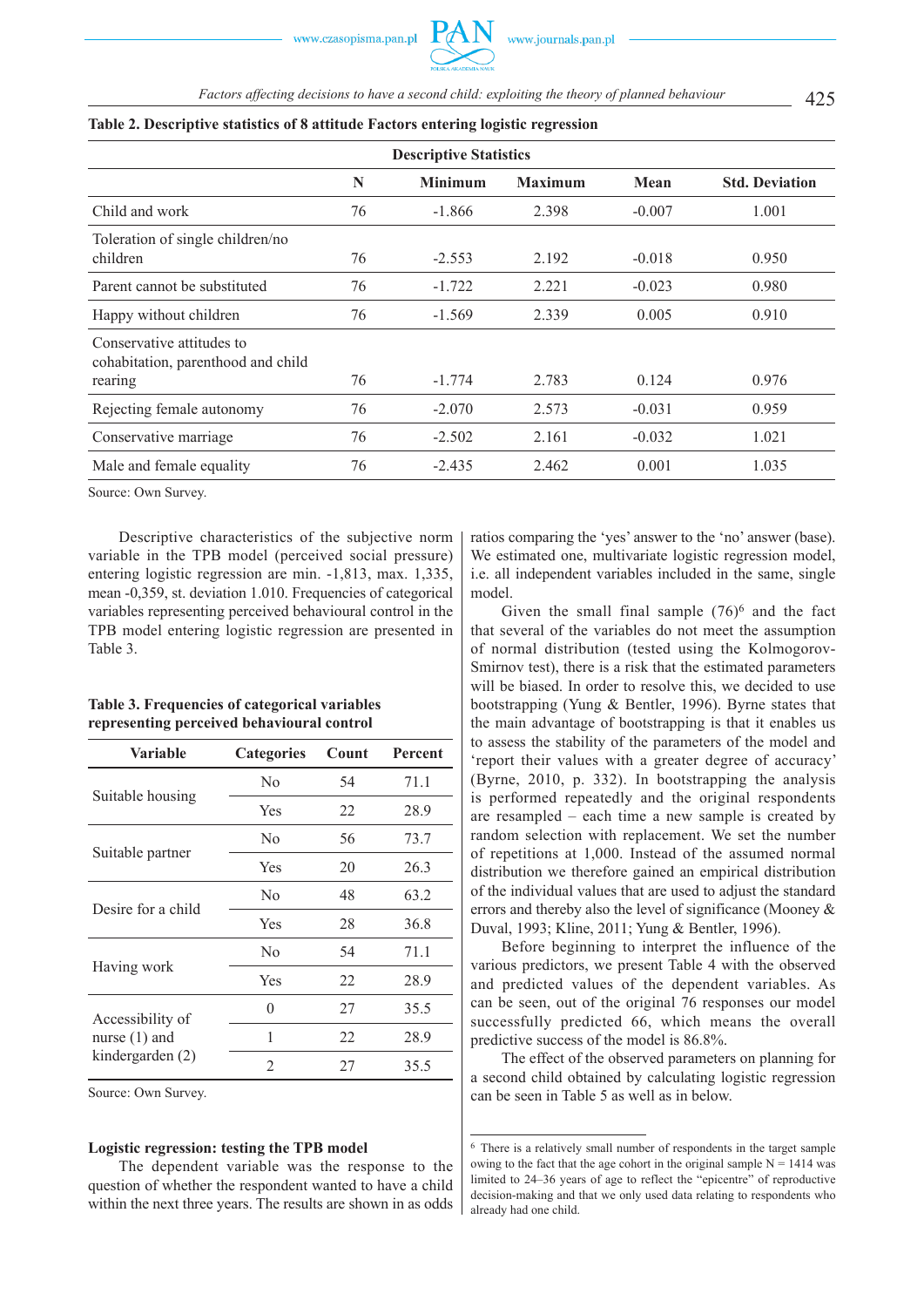425 *Factors affecting decisions to have a second child: exploiting the theory of planned behaviour*

| <b>Descriptive Statistics</b>                                              |    |                |                |          |                       |  |  |
|----------------------------------------------------------------------------|----|----------------|----------------|----------|-----------------------|--|--|
|                                                                            | N  | <b>Minimum</b> | <b>Maximum</b> | Mean     | <b>Std. Deviation</b> |  |  |
| Child and work                                                             | 76 | $-1.866$       | 2.398          | $-0.007$ | 1.001                 |  |  |
| Toleration of single children/no<br>children                               | 76 | $-2.553$       | 2.192          | $-0.018$ | 0.950                 |  |  |
| Parent cannot be substituted                                               | 76 | $-1.722$       | 2.221          | $-0.023$ | 0.980                 |  |  |
| Happy without children                                                     | 76 | $-1.569$       | 2.339          | 0.005    | 0.910                 |  |  |
| Conservative attitudes to<br>cohabitation, parenthood and child<br>rearing | 76 | $-1.774$       | 2.783          | 0.124    | 0.976                 |  |  |
| Rejecting female autonomy                                                  | 76 | $-2.070$       | 2.573          | $-0.031$ | 0.959                 |  |  |
| Conservative marriage                                                      | 76 | $-2.502$       | 2.161          | $-0.032$ | 1.021                 |  |  |
| Male and female equality                                                   | 76 | $-2.435$       | 2.462          | 0.001    | 1.035                 |  |  |

## **Table 2. Descriptive statistics of 8 attitude Factors entering logistic regression**

Source: Own Survey.

Descriptive characteristics of the subjective norm variable in the TPB model (perceived social pressure) entering logistic regression are min. -1,813, max. 1,335, mean -0,359, st. deviation 1.010. Frequencies of categorical variables representing perceived behavioural control in the TPB model entering logistic regression are presented in Table 3.

## **Table 3. Frequencies of categorical variables representing perceived behavioural control**

| Variable           | <b>Categories</b> | Count | Percent |
|--------------------|-------------------|-------|---------|
|                    | N <sub>0</sub>    | 54    | 71.1    |
| Suitable housing   | Yes               |       | 28.9    |
|                    | N <sub>0</sub>    | 56    | 73.7    |
| Suitable partner   | Yes               | 20    | 26.3    |
| Desire for a child | N <sub>0</sub>    | 48    | 63.2    |
|                    | Yes               | 28    | 36.8    |
|                    | N <sub>0</sub>    | 54    | 71.1    |
| Having work        | Yes               |       | 28.9    |
| Accessibility of   | 0                 | 27    | 35.5    |
| nurse $(1)$ and    | 1                 | 22    | 28.9    |
| kindergarden (2)   | 2                 | 27    | 35.5    |

Source: Own Survey.

## **Logistic regression: testing the TPB model**

The dependent variable was the response to the question of whether the respondent wanted to have a child within the next three years. The results are shown in as odds ratios comparing the 'yes' answer to the 'no' answer (base). We estimated one, multivariate logistic regression model, i.e. all independent variables included in the same, single model.

Given the small final sample  $(76)^6$  and the fact that several of the variables do not meet the assumption of normal distribution (tested using the Kolmogorov-Smirnov test), there is a risk that the estimated parameters will be biased. In order to resolve this, we decided to use bootstrapping (Yung & Bentler, 1996). Byrne states that the main advantage of bootstrapping is that it enables us to assess the stability of the parameters of the model and 'report their values with a greater degree of accuracy' (Byrne, 2010, p. 332). In bootstrapping the analysis is performed repeatedly and the original respondents are resampled – each time a new sample is created by random selection with replacement. We set the number of repetitions at 1,000. Instead of the assumed normal distribution we therefore gained an empirical distribution of the individual values that are used to adjust the standard errors and thereby also the level of significance (Mooney & Duval, 1993; Kline, 2011; Yung & Bentler, 1996).

Before beginning to interpret the influence of the various predictors, we present Table 4 with the observed and predicted values of the dependent variables. As can be seen, out of the original 76 responses our model successfully predicted 66, which means the overall predictive success of the model is 86.8%.

The effect of the observed parameters on planning for a second child obtained by calculating logistic regression can be seen in Table 5 as well as in below.

<sup>6</sup> There is a relatively small number of respondents in the target sample owing to the fact that the age cohort in the original sample  $N = 1414$  was limited to 24–36 years of age to reflect the "epicentre" of reproductive decision-making and that we only used data relating to respondents who already had one child.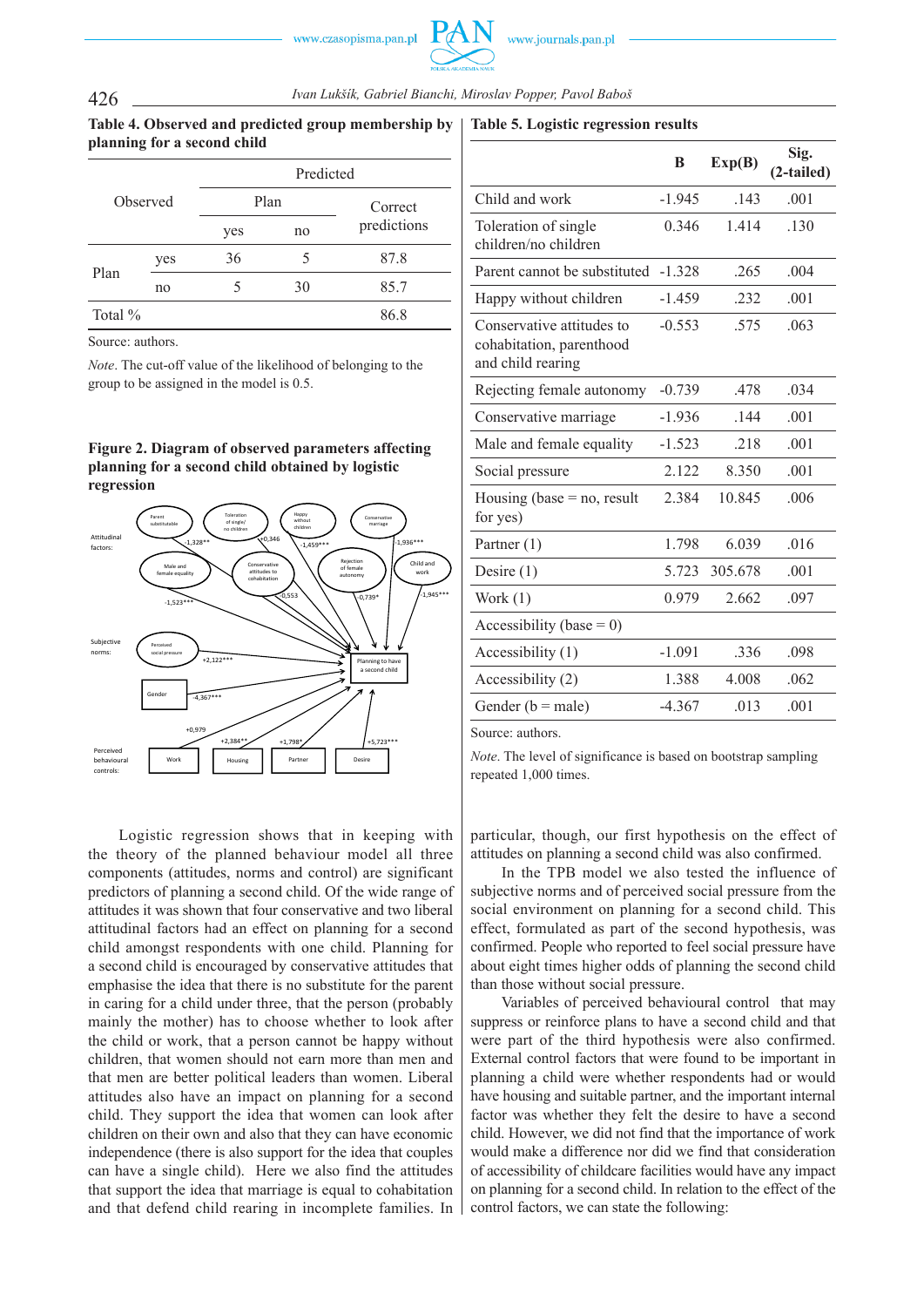## 426 *Ivan Lukšík, Gabriel Bianchi, Miroslav Popper, Pavol Baboš*

## **Table 4. Observed and predicted group membership by planning for a second child**

| Observed   |     | Predicted |      |             |  |  |
|------------|-----|-----------|------|-------------|--|--|
|            |     |           | Plan | Correct     |  |  |
|            |     | yes       | no   | predictions |  |  |
| Plan       | yes | 36        | 5    | 87.8        |  |  |
|            | no  |           | 30   | 85.7        |  |  |
| Total $\%$ |     |           |      | 86.8        |  |  |

Source: authors.

*Note*. The cut-off value of the likelihood of belonging to the group to be assigned in the model is 0.5.

## **Figure 2. Diagram of observed parameters affecting planning for a second child obtained by logistic regression**



Logistic regression shows that in keeping with the theory of the planned behaviour model all three components (attitudes, norms and control) are significant predictors of planning a second child. Of the wide range of attitudes it was shown that four conservative and two liberal attitudinal factors had an effect on planning for a second child amongst respondents with one child. Planning for a second child is encouraged by conservative attitudes that emphasise the idea that there is no substitute for the parent in caring for a child under three, that the person (probably mainly the mother) has to choose whether to look after the child or work, that a person cannot be happy without children, that women should not earn more than men and that men are better political leaders than women. Liberal attitudes also have an impact on planning for a second child. They support the idea that women can look after children on their own and also that they can have economic independence (there is also support for the idea that couples can have a single child). Here we also find the attitudes that support the idea that marriage is equal to cohabitation and that defend child rearing in incomplete families. In

|                                                                            | B        | Exp(B)  | Sig.<br>(2-tailed) |  |
|----------------------------------------------------------------------------|----------|---------|--------------------|--|
| Child and work                                                             | $-1.945$ | .143    | .001               |  |
| Toleration of single<br>children/no children                               | 0.346    | 1.414   | .130               |  |
| Parent cannot be substituted                                               | $-1.328$ | .265    | .004               |  |
| Happy without children                                                     | $-1.459$ | .232    | .001               |  |
| Conservative attitudes to<br>cohabitation, parenthood<br>and child rearing | $-0.553$ | .575    | .063               |  |
| Rejecting female autonomy                                                  | $-0.739$ | .478    | .034               |  |
| Conservative marriage                                                      | $-1.936$ | .144    | .001               |  |
| Male and female equality                                                   | $-1.523$ | .218    | .001               |  |
| Social pressure                                                            | 2.122    | 8.350   | .001               |  |
| Housing (base $=$ no, result<br>for yes)                                   | 2.384    | 10.845  | .006               |  |
| Partner (1)                                                                | 1.798    | 6.039   | .016               |  |
| Desire $(1)$                                                               | 5.723    | 305.678 | .001               |  |
| Work (1)                                                                   | 0.979    | 2.662   | .097               |  |
| Accessibility (base = 0)                                                   |          |         |                    |  |
| Accessibility (1)                                                          | $-1.091$ | 336     | .098               |  |
| Accessibility (2)                                                          | 1.388    | 4.008   | .062               |  |
| Gender $(b = male)$                                                        | $-4.367$ | .013    | .001               |  |

Source: authors.

*Note*. The level of significance is based on bootstrap sampling repeated 1,000 times.

particular, though, our first hypothesis on the effect of attitudes on planning a second child was also confirmed.

In the TPB model we also tested the influence of subjective norms and of perceived social pressure from the social environment on planning for a second child. This effect, formulated as part of the second hypothesis, was confirmed. People who reported to feel social pressure have about eight times higher odds of planning the second child than those without social pressure.

Variables of perceived behavioural control that may suppress or reinforce plans to have a second child and that were part of the third hypothesis were also confirmed. External control factors that were found to be important in planning a child were whether respondents had or would have housing and suitable partner, and the important internal factor was whether they felt the desire to have a second child. However, we did not find that the importance of work would make a difference nor did we find that consideration of accessibility of childcare facilities would have any impact on planning for a second child. In relation to the effect of the control factors, we can state the following:

### **Table 5. Logistic regression results**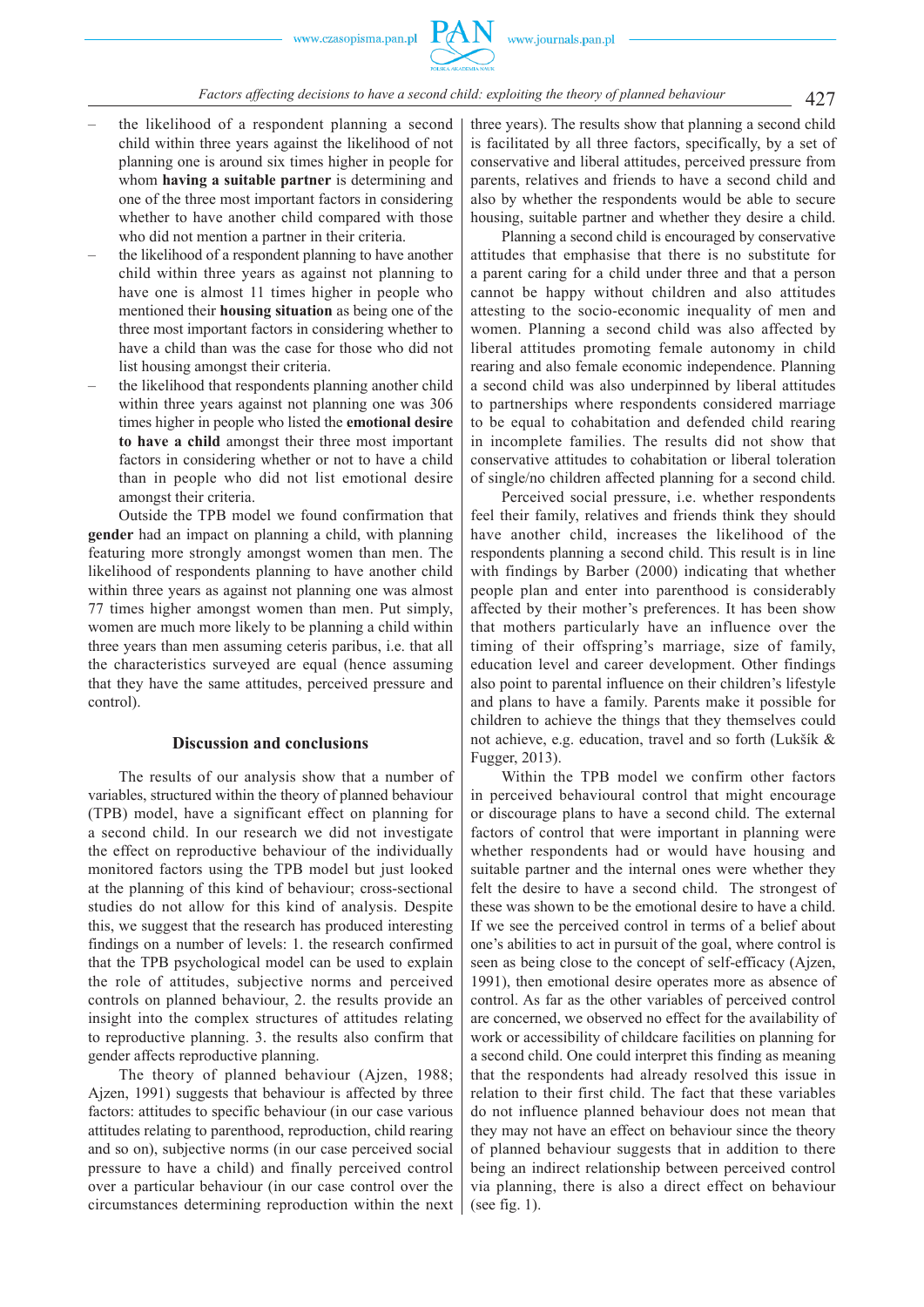- the likelihood of a respondent planning a second child within three years against the likelihood of not planning one is around six times higher in people for whom **having a suitable partner** is determining and one of the three most important factors in considering whether to have another child compared with those who did not mention a partner in their criteria.
- the likelihood of a respondent planning to have another child within three years as against not planning to have one is almost 11 times higher in people who mentioned their **housing situation** as being one of the three most important factors in considering whether to have a child than was the case for those who did not list housing amongst their criteria.
- the likelihood that respondents planning another child within three years against not planning one was 306 times higher in people who listed the **emotional desire to have a child** amongst their three most important factors in considering whether or not to have a child than in people who did not list emotional desire amongst their criteria.

Outside the TPB model we found confirmation that **gender** had an impact on planning a child, with planning featuring more strongly amongst women than men. The likelihood of respondents planning to have another child within three years as against not planning one was almost 77 times higher amongst women than men. Put simply, women are much more likely to be planning a child within three years than men assuming ceteris paribus, i.e. that all the characteristics surveyed are equal (hence assuming that they have the same attitudes, perceived pressure and control).

#### **Discussion and conclusions**

The results of our analysis show that a number of variables, structured within the theory of planned behaviour (TPB) model, have a significant effect on planning for a second child. In our research we did not investigate the effect on reproductive behaviour of the individually monitored factors using the TPB model but just looked at the planning of this kind of behaviour; cross-sectional studies do not allow for this kind of analysis. Despite this, we suggest that the research has produced interesting findings on a number of levels: 1. the research confirmed that the TPB psychological model can be used to explain the role of attitudes, subjective norms and perceived controls on planned behaviour, 2. the results provide an insight into the complex structures of attitudes relating to reproductive planning. 3. the results also confirm that gender affects reproductive planning.

The theory of planned behaviour (Ajzen, 1988; Ajzen, 1991) suggests that behaviour is affected by three factors: attitudes to specific behaviour (in our case various attitudes relating to parenthood, reproduction, child rearing and so on), subjective norms (in our case perceived social pressure to have a child) and finally perceived control over a particular behaviour (in our case control over the circumstances determining reproduction within the next

three years). The results show that planning a second child is facilitated by all three factors, specifically, by a set of conservative and liberal attitudes, perceived pressure from parents, relatives and friends to have a second child and also by whether the respondents would be able to secure housing, suitable partner and whether they desire a child.

Planning a second child is encouraged by conservative attitudes that emphasise that there is no substitute for a parent caring for a child under three and that a person cannot be happy without children and also attitudes attesting to the socio-economic inequality of men and women. Planning a second child was also affected by liberal attitudes promoting female autonomy in child rearing and also female economic independence. Planning a second child was also underpinned by liberal attitudes to partnerships where respondents considered marriage to be equal to cohabitation and defended child rearing in incomplete families. The results did not show that conservative attitudes to cohabitation or liberal toleration of single/no children affected planning for a second child.

Perceived social pressure, i.e. whether respondents feel their family, relatives and friends think they should have another child, increases the likelihood of the respondents planning a second child. This result is in line with findings by Barber (2000) indicating that whether people plan and enter into parenthood is considerably affected by their mother's preferences. It has been show that mothers particularly have an influence over the timing of their offspring's marriage, size of family, education level and career development. Other findings also point to parental influence on their children's lifestyle and plans to have a family. Parents make it possible for children to achieve the things that they themselves could not achieve, e.g. education, travel and so forth (Lukšík & Fugger, 2013).

Within the TPB model we confirm other factors in perceived behavioural control that might encourage or discourage plans to have a second child. The external factors of control that were important in planning were whether respondents had or would have housing and suitable partner and the internal ones were whether they felt the desire to have a second child. The strongest of these was shown to be the emotional desire to have a child. If we see the perceived control in terms of a belief about one's abilities to act in pursuit of the goal, where control is seen as being close to the concept of self-efficacy (Ajzen, 1991), then emotional desire operates more as absence of control. As far as the other variables of perceived control are concerned, we observed no effect for the availability of work or accessibility of childcare facilities on planning for a second child. One could interpret this finding as meaning that the respondents had already resolved this issue in relation to their first child. The fact that these variables do not influence planned behaviour does not mean that they may not have an effect on behaviour since the theory of planned behaviour suggests that in addition to there being an indirect relationship between perceived control via planning, there is also a direct effect on behaviour (see fig. 1).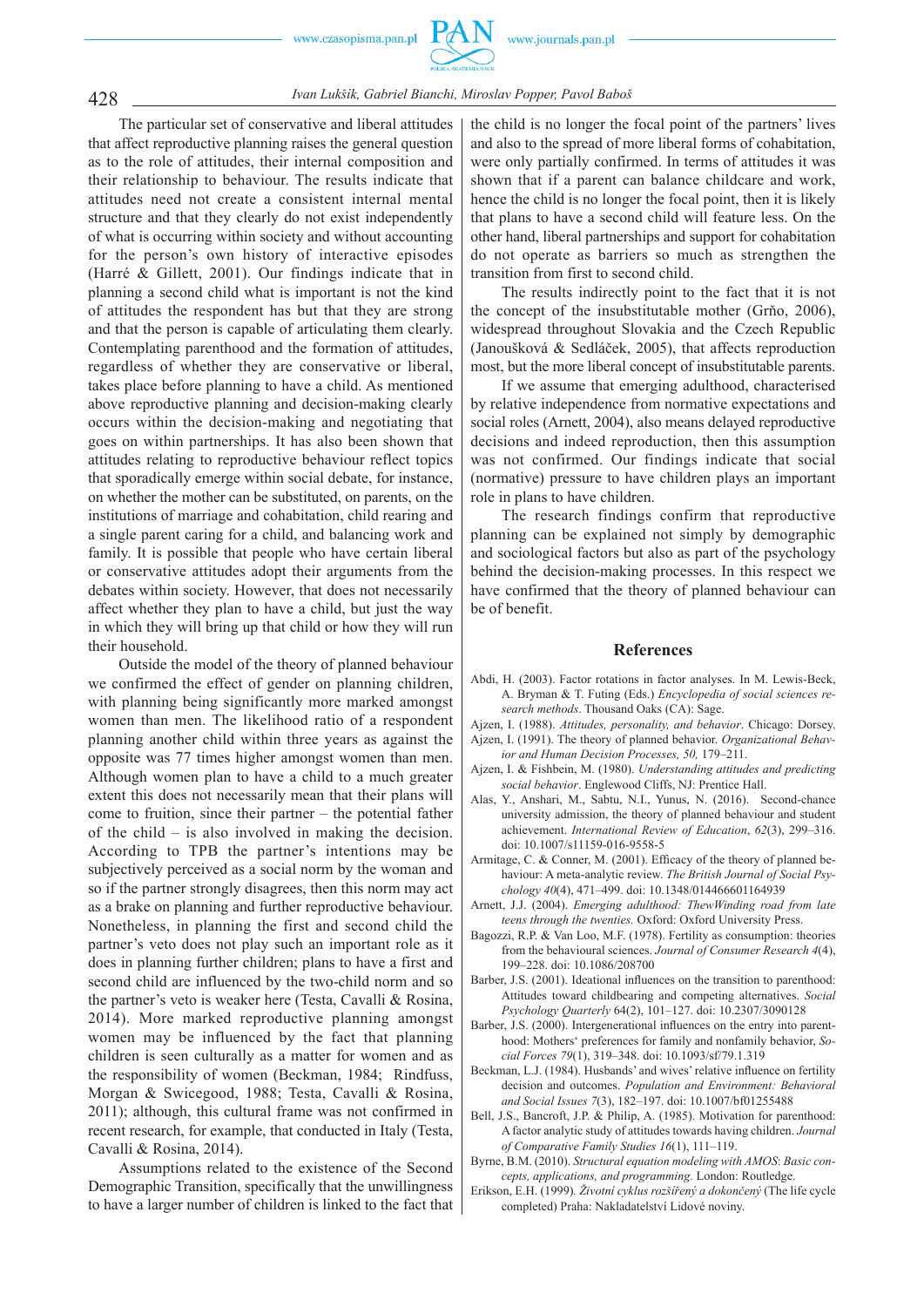428 *Ivan Lukšík, Gabriel Bianchi, Miroslav Popper, Pavol Baboš*

The particular set of conservative and liberal attitudes that affect reproductive planning raises the general question as to the role of attitudes, their internal composition and their relationship to behaviour. The results indicate that attitudes need not create a consistent internal mental structure and that they clearly do not exist independently of what is occurring within society and without accounting for the person's own history of interactive episodes (Harré & Gillett, 2001). Our findings indicate that in planning a second child what is important is not the kind of attitudes the respondent has but that they are strong and that the person is capable of articulating them clearly. Contemplating parenthood and the formation of attitudes, regardless of whether they are conservative or liberal, takes place before planning to have a child. As mentioned above reproductive planning and decision-making clearly occurs within the decision-making and negotiating that goes on within partnerships. It has also been shown that attitudes relating to reproductive behaviour reflect topics that sporadically emerge within social debate, for instance, on whether the mother can be substituted, on parents, on the institutions of marriage and cohabitation, child rearing and a single parent caring for a child, and balancing work and family. It is possible that people who have certain liberal or conservative attitudes adopt their arguments from the debates within society. However, that does not necessarily affect whether they plan to have a child, but just the way in which they will bring up that child or how they will run their household.

Outside the model of the theory of planned behaviour we confirmed the effect of gender on planning children, with planning being significantly more marked amongst women than men. The likelihood ratio of a respondent planning another child within three years as against the opposite was 77 times higher amongst women than men. Although women plan to have a child to a much greater extent this does not necessarily mean that their plans will come to fruition, since their partner – the potential father of the child – is also involved in making the decision. According to TPB the partner's intentions may be subjectively perceived as a social norm by the woman and so if the partner strongly disagrees, then this norm may act as a brake on planning and further reproductive behaviour. Nonetheless, in planning the first and second child the partner's veto does not play such an important role as it does in planning further children; plans to have a first and second child are influenced by the two-child norm and so the partner's veto is weaker here (Testa, Cavalli & Rosina, 2014). More marked reproductive planning amongst women may be influenced by the fact that planning children is seen culturally as a matter for women and as the responsibility of women (Beckman, 1984; Rindfuss, Morgan & Swicegood, 1988; Testa, Cavalli & Rosina, 2011); although, this cultural frame was not confirmed in recent research, for example, that conducted in Italy (Testa, Cavalli & Rosina, 2014).

Assumptions related to the existence of the Second Demographic Transition, specifically that the unwillingness to have a larger number of children is linked to the fact that

the child is no longer the focal point of the partners' lives and also to the spread of more liberal forms of cohabitation, were only partially confirmed. In terms of attitudes it was shown that if a parent can balance childcare and work, hence the child is no longer the focal point, then it is likely that plans to have a second child will feature less. On the other hand, liberal partnerships and support for cohabitation do not operate as barriers so much as strengthen the transition from first to second child.

The results indirectly point to the fact that it is not the concept of the insubstitutable mother (Grňo, 2006), widespread throughout Slovakia and the Czech Republic (Janoušková & Sedláček, 2005), that affects reproduction most, but the more liberal concept of insubstitutable parents.

If we assume that emerging adulthood, characterised by relative independence from normative expectations and social roles (Arnett, 2004), also means delayed reproductive decisions and indeed reproduction, then this assumption was not confirmed. Our findings indicate that social (normative) pressure to have children plays an important role in plans to have children.

The research findings confirm that reproductive planning can be explained not simply by demographic and sociological factors but also as part of the psychology behind the decision-making processes. In this respect we have confirmed that the theory of planned behaviour can be of benefit.

### **References**

- Abdi, H. (2003). Factor rotations in factor analyses. In M. Lewis-Beck, A. Bryman & T. Futing (Eds.) *Encyclopedia of social sciences research methods*. Thousand Oaks (CA): Sage.
- Ajzen, I. (1988). *Attitudes, personality, and behavior*. Chicago: Dorsey. Ajzen, I. (1991). The theory of planned behavior. *Organizational Behav-*
- *ior and Human Decision Processes, 50,* 179–211. Ajzen, I. & Fishbein, M. (1980). *Understanding attitudes and predicting social behavior*. Englewood Cliffs, NJ: Prentice Hall.
- Alas, Y., Anshari, M., Sabtu, N.I., Yunus, N. (2016). Second-chance university admission, the theory of planned behaviour and student achievement. *International Review of Education*, *62*(3), 299–316. doi: 10.1007/s11159-016-9558-5
- Armitage, C. & Conner, M. (2001). Efficacy of the theory of planned behaviour: A meta-analytic review. *The British Journal of Social Psychology 40*(4), 471–499. doi: 10.1348/014466601164939
- Arnett, J.J. (2004). *Emerging adulthood: ThewWinding road from late teens through the twenties.* Oxford: Oxford University Press.
- Bagozzi, R.P. & Van Loo, M.F. (1978). Fertility as consumption: theories from the behavioural sciences. *Journal of Consumer Research 4*(4), 199–228. doi: 10.1086/208700
- Barber, J.S. (2001). Ideational influences on the transition to parenthood: Attitudes toward childbearing and competing alternatives. *Social Psychology Quarterly* 64(2), 101–127. doi: 10.2307/3090128
- Barber, J.S. (2000). Intergenerational influences on the entry into parenthood: Mothers' preferences for family and nonfamily behavior, *Social Forces 79*(1), 319–348. doi: 10.1093/sf/79.1.319
- Beckman, L.J. (1984). Husbands' and wives' relative influence on fertility decision and outcomes. *Population and Environment: Behavioral and Social Issues 7*(3), 182–197. doi: 10.1007/bf01255488
- Bell, J.S., Bancroft, J.P. & Philip, A. (1985). Motivation for parenthood: A factor analytic study of attitudes towards having children. *Journal of Comparative Family Studies 16*(1), 111–119.
- Byrne, B.M. (2010). *Structural equation modeling with AMOS*: *Basic concepts, applications, and programming.* London: Routledge.
- Erikson, E.H. (1999)*. Životní cyklus rozšířený a dokončený* (The life cycle completed) Praha: Nakladatelství Lidové noviny.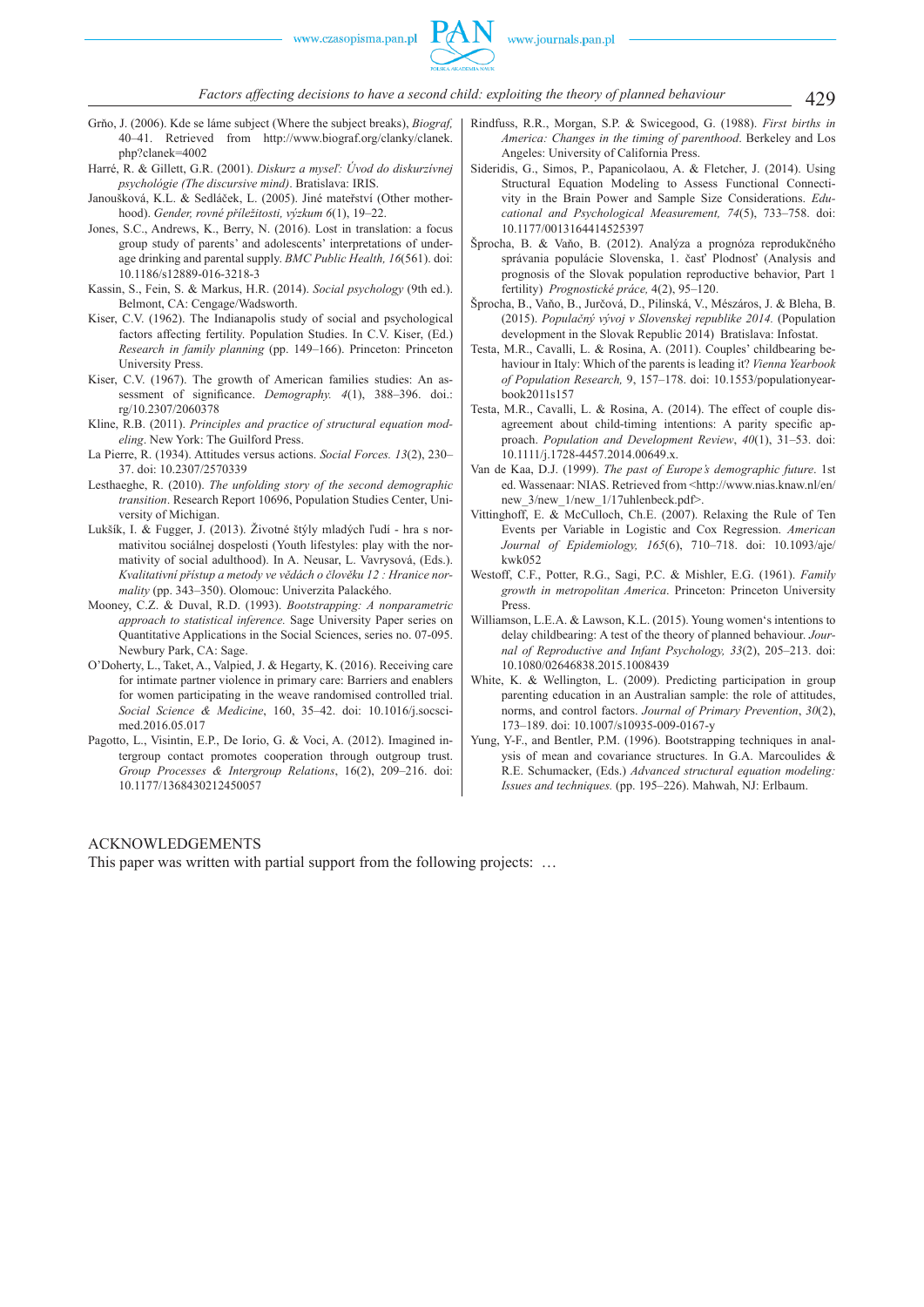- Grňo, J. (2006). Kde se láme subject (Where the subject breaks), *Biograf,*  40–41. Retrieved from http://www.biograf.org/clanky/clanek. php?clanek=4002
- Harré, R. & Gillett, G.R. (2001). *Diskurz a myseľ: Úvod do diskurzívnej psychológie (The discursive mind)*. Bratislava: IRIS.
- Janoušková, K.L. & Sedláček, L. (2005). Jiné mateřství (Other motherhood). *Gender, rovné příležitosti, výzkum 6*(1), 19–22.
- Jones, S.C., Andrews, K., Berry, N. (2016). Lost in translation: a focus group study of parents' and adolescents' interpretations of underage drinking and parental supply. *BMC Public Health, 16*(561). doi: 10.1186/s12889-016-3218-3
- Kassin, S., Fein, S. & Markus, H.R. (2014). *Social psychology* (9th ed.). Belmont, CA: Cengage/Wadsworth.
- Kiser, C.V. (1962). The Indianapolis study of social and psychological factors affecting fertility. Population Studies. In C.V. Kiser, (Ed.) *Research in family planning* (pp. 149–166). Princeton: Princeton University Press.
- Kiser, C.V. (1967). The growth of American families studies: An assessment of significance. *Demography.* 4(1), 388-396. doi.: rg/10.2307/2060378
- Kline, R.B. (2011). *Principles and practice of structural equation modeling*. New York: The Guilford Press.
- La Pierre, R. (1934). Attitudes versus actions. *Social Forces. 13*(2), 230– 37. doi: 10.2307/2570339
- Lesthaeghe, R. (2010). *The unfolding story of the second demographic transition*. Research Report 10696, Population Studies Center, University of Michigan.
- Lukšík, I. & Fugger, J. (2013). Životné štýly mladých ľudí hra s normativitou sociálnej dospelosti (Youth lifestyles: play with the normativity of social adulthood). In A. Neusar, L. Vavrysová, (Eds.). *Kvalitativní přístup a metody ve vědách o člověku 12 : Hranice normality* (pp. 343–350). Olomouc: Univerzita Palackého.
- Mooney, C.Z. & Duval, R.D. (1993). *Bootstrapping: A nonparametric approach to statistical inference.* Sage University Paper series on Quantitative Applications in the Social Sciences, series no. 07-095. Newbury Park, CA: Sage.
- O'Doherty, L., Taket, A., Valpied, J. & Hegarty, K. (2016). Receiving care for intimate partner violence in primary care: Barriers and enablers for women participating in the weave randomised controlled trial. *Social Science & Medicine*, 160, 35–42. doi: 10.1016/j.socscimed.2016.05.017
- Pagotto, L., Visintin, E.P., De Iorio, G. & Voci, A. (2012). Imagined intergroup contact promotes cooperation through outgroup trust. *Group Processes & Intergroup Relations*, 16(2), 209–216. doi: 10.1177/1368430212450057
- Rindfuss, R.R., Morgan, S.P. & Swicegood, G. (1988). *First births in America: Changes in the timing of parenthood*. Berkeley and Los Angeles: University of California Press.
- Sideridis, G., Simos, P., Papanicolaou, A. & Fletcher, J. (2014). Using Structural Equation Modeling to Assess Functional Connectivity in the Brain Power and Sample Size Considerations. *Educational and Psychological Measurement, 74*(5), 733–758. doi: 10.1177/0013164414525397
- Šprocha, B. & Vaňo, B. (2012). Analýza a prognóza reprodukčného správania populácie Slovenska, 1. časť Plodnosť (Analysis and prognosis of the Slovak population reproductive behavior, Part 1 fertility) *Prognostické práce,* 4(2), 95–120.
- Šprocha, B., Vaňo, B., Jurčová, D., Pilinská, V., Mészáros, J. & Bleha, B. (2015). *Populačný vývoj v Slovenskej republike 2014.* (Population development in the Slovak Republic 2014) Bratislava: Infostat.
- Testa, M.R., Cavalli, L. & Rosina, A. (2011). Couples' childbearing behaviour in Italy: Which of the parents is leading it? *Vienna Yearbook of Population Research,* 9, 157–178. doi: 10.1553/populationyearbook2011s157
- Testa, M.R., Cavalli, L. & Rosina, A. (2014). The effect of couple disagreement about child-timing intentions: A parity specific approach. *Population and Development Review*, *40*(1), 31–53. doi: 10.1111/j.1728-4457.2014.00649.x.
- Van de Kaa, D.J. (1999). *The past of Europe's demographic future*. 1st ed. Wassenaar: NIAS. Retrieved from <http://www.nias.knaw.nl/en/ new 3/new 1/new 1/17uhlenbeck.pdf>.
- Vittinghoff, E. & McCulloch, Ch.E. (2007). Relaxing the Rule of Ten Events per Variable in Logistic and Cox Regression. *American Journal of Epidemiology, 165*(6), 710–718. doi: 10.1093/aje/ kwk052
- Westoff, C.F., Potter, R.G., Sagi, P.C. & Mishler, E.G. (1961). *Family growth in metropolitan America*. Princeton: Princeton University Press.
- Williamson, L.E.A. & Lawson, K.L. (2015). Young women's intentions to delay childbearing: A test of the theory of planned behaviour. *Journal of Reproductive and Infant Psychology, 33*(2), 205–213. doi: 10.1080/02646838.2015.1008439
- White, K. & Wellington, L. (2009). Predicting participation in group parenting education in an Australian sample: the role of attitudes, norms, and control factors. *Journal of Primary Prevention*, *30*(2), 173–189. doi: 10.1007/s10935-009-0167-y
- Yung, Y-F., and Bentler, P.M. (1996). Bootstrapping techniques in analysis of mean and covariance structures. In G.A. Marcoulides & R.E. Schumacker, (Eds.) *Advanced structural equation modeling: Issues and techniques.* (pp. 195–226). Mahwah, NJ: Erlbaum.

#### ACKNOWLEDGEMENTS

This paper was written with partial support from the following projects: ...